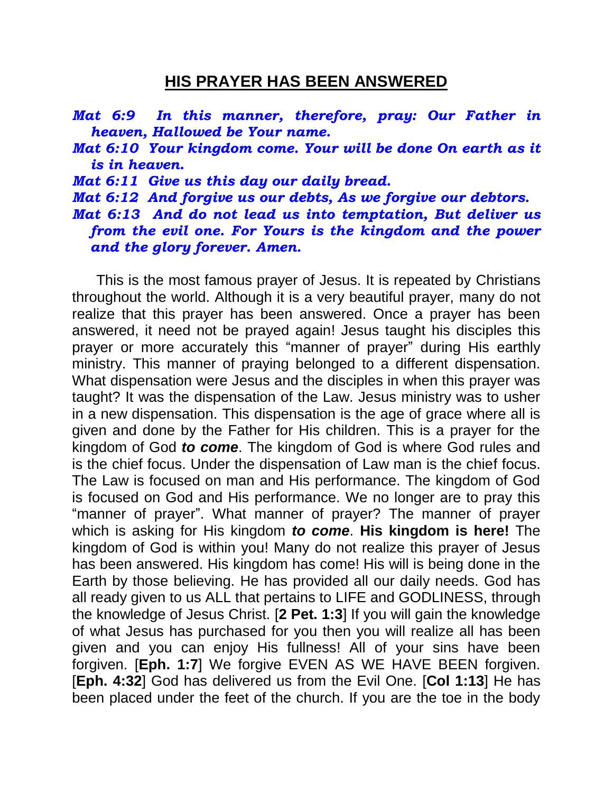## **HIS PRAYER HAS BEEN ANSWERED**

- *Mat 6:9 In this manner, therefore, pray: Our Father in heaven, Hallowed be Your name.*
- *Mat 6:10 Your kingdom come. Your will be done On earth as it is in heaven.*
- *Mat 6:11 Give us this day our daily bread.*
- *Mat 6:12 And forgive us our debts, As we forgive our debtors.*
- *Mat 6:13 And do not lead us into temptation, But deliver us from the evil one. For Yours is the kingdom and the power and the glory forever. Amen.*

 This is the most famous prayer of Jesus. It is repeated by Christians throughout the world. Although it is a very beautiful prayer, many do not realize that this prayer has been answered. Once a prayer has been answered, it need not be prayed again! Jesus taught his disciples this prayer or more accurately this "manner of prayer" during His earthly ministry. This manner of praying belonged to a different dispensation. What dispensation were Jesus and the disciples in when this prayer was taught? It was the dispensation of the Law. Jesus ministry was to usher in a new dispensation. This dispensation is the age of grace where all is given and done by the Father for His children. This is a prayer for the kingdom of God *to come*. The kingdom of God is where God rules and is the chief focus. Under the dispensation of Law man is the chief focus. The Law is focused on man and His performance. The kingdom of God is focused on God and His performance. We no longer are to pray this "manner of prayer". What manner of prayer? The manner of prayer which is asking for His kingdom *to come*. **His kingdom is here!** The kingdom of God is within you! Many do not realize this prayer of Jesus has been answered. His kingdom has come! His will is being done in the Earth by those believing. He has provided all our daily needs. God has all ready given to us ALL that pertains to LIFE and GODLINESS, through the knowledge of Jesus Christ. [**2 Pet. 1:3**] If you will gain the knowledge of what Jesus has purchased for you then you will realize all has been given and you can enjoy His fullness! All of your sins have been forgiven. [**Eph. 1:7**] We forgive EVEN AS WE HAVE BEEN forgiven. [**Eph. 4:32**] God has delivered us from the Evil One. [**Col 1:13**] He has been placed under the feet of the church. If you are the toe in the body